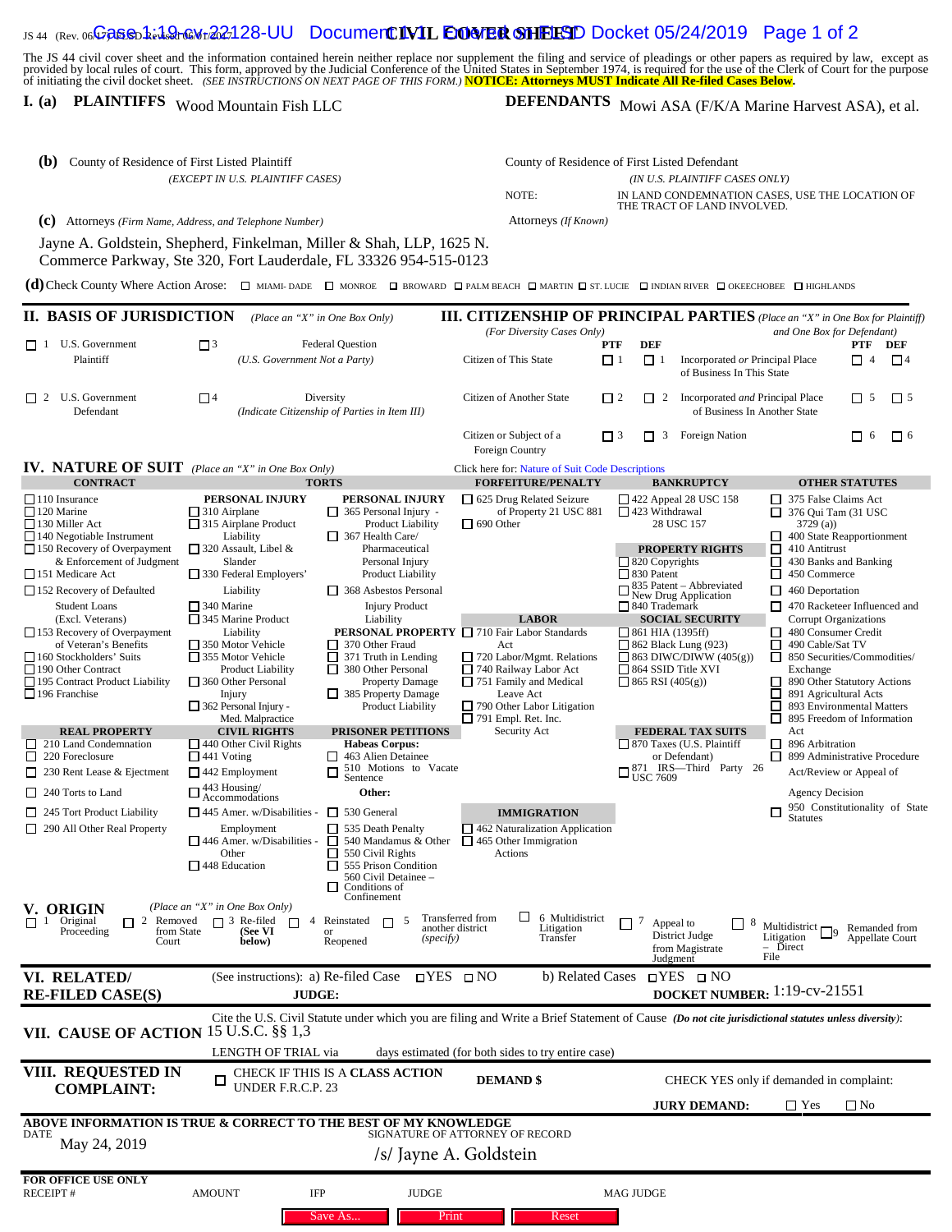## IS 44 (Rev. 06Ga**se**b **1:19-cW+22128-UU** Documen**t IVIL EOMER SHEISD** Docket 05/24/2019 Page 1 of 2

The JS 44 civil cover sheet and the information contained herein neither replace nor supplement the filing and service of pleadings or other papers as required by law, except as<br>provided by local rules of court. This form,

## **I.** (a) **PLAINTIFFS** Wood Mountain Fish LLC

DEFENDANTS Mowi ASA (F/K/A Marine Harvest ASA), et al.

| (b)<br>County of Residence of First Listed Plaintiff<br>(EXCEPT IN U.S. PLAINTIFF CASES)                                                                                                                      |                                                                                                        |                                                                                      | County of Residence of First Listed Defendant                                                                                                       |                                                                               |                                                                                 |                                                        |                                                         |                     |
|---------------------------------------------------------------------------------------------------------------------------------------------------------------------------------------------------------------|--------------------------------------------------------------------------------------------------------|--------------------------------------------------------------------------------------|-----------------------------------------------------------------------------------------------------------------------------------------------------|-------------------------------------------------------------------------------|---------------------------------------------------------------------------------|--------------------------------------------------------|---------------------------------------------------------|---------------------|
|                                                                                                                                                                                                               |                                                                                                        |                                                                                      | (IN U.S. PLAINTIFF CASES ONLY)<br>NOTE:<br>IN LAND CONDEMNATION CASES, USE THE LOCATION OF                                                          |                                                                               |                                                                                 |                                                        |                                                         |                     |
| (C) Attorneys (Firm Name, Address, and Telephone Number)                                                                                                                                                      |                                                                                                        |                                                                                      | Attorneys (If Known)                                                                                                                                |                                                                               | THE TRACT OF LAND INVOLVED.                                                     |                                                        |                                                         |                     |
| Jayne A. Goldstein, Shepherd, Finkelman, Miller & Shah, LLP, 1625 N.                                                                                                                                          |                                                                                                        |                                                                                      |                                                                                                                                                     |                                                                               |                                                                                 |                                                        |                                                         |                     |
| Commerce Parkway, Ste 320, Fort Lauderdale, FL 33326 954-515-0123                                                                                                                                             |                                                                                                        |                                                                                      |                                                                                                                                                     |                                                                               |                                                                                 |                                                        |                                                         |                     |
| (d) Check County Where Action Arose: <b>7</b> MIAMI-DADE <b>D</b> MONROE <b>D</b> BROWARD <b>D</b> PALM BEACH <b>D</b> MARTIN <b>D</b> ST. LUCIE <b>D</b> INDIAN RIVER <b>D</b> OKEECHOBEE <b>D</b> HIGHLANDS |                                                                                                        |                                                                                      |                                                                                                                                                     |                                                                               |                                                                                 |                                                        |                                                         |                     |
| II. BASIS OF JURISDICTION                                                                                                                                                                                     |                                                                                                        | (Place an "X" in One Box Only)                                                       | <b>III. CITIZENSHIP OF PRINCIPAL PARTIES</b> (Place an "X" in One Box for Plaintiff)<br>(For Diversity Cases Only)                                  |                                                                               |                                                                                 | and One Box for Defendant)                             |                                                         |                     |
| $\Box$ 1 U.S. Government                                                                                                                                                                                      | $\sqrt{3}$<br><b>Federal Question</b><br>(U.S. Government Not a Party)                                 |                                                                                      |                                                                                                                                                     | <b>DEF</b><br>PTF                                                             |                                                                                 |                                                        | PTF DEF                                                 |                     |
| Plaintiff                                                                                                                                                                                                     |                                                                                                        |                                                                                      | Citizen of This State                                                                                                                               | $\Box$ <sup>1</sup><br>$\Box$ <sup>1</sup>                                    | Incorporated or Principal Place<br>of Business In This State                    |                                                        | $\Box$ 4                                                | $\Box$ <sup>4</sup> |
| $\Box$ 2 U.S. Government<br>Defendant                                                                                                                                                                         | $\Box$<br>Diversity<br>(Indicate Citizenship of Parties in Item III)                                   |                                                                                      | Citizen of Another State                                                                                                                            | $\Box$ 2<br>$\Box$ 2                                                          | Incorporated and Principal Place<br>$\Box$ 5<br>of Business In Another State    |                                                        | $\Box$ 5                                                |                     |
|                                                                                                                                                                                                               |                                                                                                        |                                                                                      | Citizen or Subject of a<br>Foreign Country                                                                                                          | $\Box$ 3<br>$\Box$ 3                                                          | Foreign Nation                                                                  |                                                        | $\Box$<br>-6                                            | $\Box$ 6            |
| <b>IV. NATURE OF SUIT</b> (Place an "X" in One Box Only)<br><b>CONTRACT</b>                                                                                                                                   |                                                                                                        | <b>TORTS</b>                                                                         | Click here for: Nature of Suit Code Descriptions<br><b>FORFEITURE/PENALTY</b>                                                                       |                                                                               | <b>BANKRUPTCY</b>                                                               |                                                        | <b>OTHER STATUTES</b>                                   |                     |
| $\Box$ 110 Insurance                                                                                                                                                                                          | PERSONAL INJURY                                                                                        | PERSONAL INJURY                                                                      | $\Box$ 625 Drug Related Seizure                                                                                                                     |                                                                               | $\Box$ 422 Appeal 28 USC 158                                                    | 375 False Claims Act                                   |                                                         |                     |
| 120 Marine<br>130 Miller Act                                                                                                                                                                                  | $\Box$ 310 Airplane                                                                                    | $\Box$ 365 Personal Injury -                                                         | of Property 21 USC 881<br>$\Box$ 690 Other                                                                                                          | $\Box$ 423 Withdrawal                                                         |                                                                                 | $\Box$ 376 Qui Tam (31 USC)                            |                                                         |                     |
| $\Box$ 140 Negotiable Instrument                                                                                                                                                                              | $\Box$ 315 Airplane Product<br>Liability                                                               | <b>Product Liability</b><br>$\Box$ 367 Health Care/                                  |                                                                                                                                                     |                                                                               | 28 USC 157                                                                      | 3729(a)                                                | 400 State Reapportionment                               |                     |
| $\Box$ 150 Recovery of Overpayment<br>& Enforcement of Judgment                                                                                                                                               | $\Box$ 320 Assault, Libel &<br>Slander                                                                 | Pharmaceutical<br>Personal Injury                                                    |                                                                                                                                                     | $\Box$ 820 Copyrights                                                         | <b>PROPERTY RIGHTS</b>                                                          | ⊠<br>410 Antitrust<br>П                                |                                                         |                     |
| 151 Medicare Act                                                                                                                                                                                              | $\Box$ 330 Federal Employers'                                                                          | <b>Product Liability</b>                                                             |                                                                                                                                                     | 830 Patent                                                                    |                                                                                 | 430 Banks and Banking<br>□<br>450 Commerce             |                                                         |                     |
| $\Box$ 152 Recovery of Defaulted                                                                                                                                                                              | Liability                                                                                              | 368 Asbestos Personal                                                                |                                                                                                                                                     | $\frac{835 \text{ Patent} - \text{Abbreviated}}{\text{New Drug Application}}$ |                                                                                 | $\Box$ 460 Deportation<br>470 Racketeer Influenced and |                                                         |                     |
| <b>Student Loans</b><br>(Excl. Veterans)                                                                                                                                                                      | $\Box$ 340 Marine<br>$\Box$ 345 Marine Product                                                         | <b>Injury Product</b><br>Liability                                                   | <b>LABOR</b>                                                                                                                                        | □ 840 Trademark<br><b>SOCIAL SECURITY</b>                                     |                                                                                 |                                                        | <b>Corrupt Organizations</b>                            |                     |
| $\Box$ 153 Recovery of Overpayment                                                                                                                                                                            | Liability                                                                                              |                                                                                      | <b>PERSONAL PROPERTY</b> □ 710 Fair Labor Standards                                                                                                 | $\Box$ 861 HIA (1395ff)                                                       |                                                                                 | 480 Consumer Credit                                    |                                                         |                     |
| of Veteran's Benefits<br>$\Box$ 160 Stockholders' Suits                                                                                                                                                       | $\Box$ 350 Motor Vehicle<br>$\Box$ 370 Other Fraud<br>355 Motor Vehicle<br>$\Box$ 371 Truth in Lending |                                                                                      | Act<br>$\Box$ 720 Labor/Mgmt. Relations                                                                                                             | $\Box$ 862 Black Lung (923)<br>$\Box$ 863 DIWC/DIWW (405(g))                  |                                                                                 | □<br>490 Cable/Sat TV<br>□                             | 850 Securities/Commodities/                             |                     |
| 190 Other Contract<br>195 Contract Product Liability                                                                                                                                                          | Product Liability<br>$\Box$ 360 Other Personal                                                         | 380 Other Personal<br>$\Box$<br><b>Property Damage</b>                               | $\Box$ 740 Railway Labor Act<br>$\Box$ 751 Family and Medical                                                                                       | $\Box$ 864 SSID Title XVI<br>$\Box$ 865 RSI (405(g))                          |                                                                                 | Exchange<br>890 Other Statutory Actions<br>ப           |                                                         |                     |
| $\Box$ 196 Franchise                                                                                                                                                                                          | Injury                                                                                                 | $\Box$ 385 Property Damage                                                           | Leave Act                                                                                                                                           |                                                                               |                                                                                 | □                                                      | 891 Agricultural Acts                                   |                     |
|                                                                                                                                                                                                               | $\Box$ 362 Personal Injury -<br>Med. Malpractice                                                       | <b>Product Liability</b>                                                             | $\Box$ 790 Other Labor Litigation<br>$\Box$ 791 Empl. Ret. Inc.                                                                                     |                                                                               |                                                                                 | □<br>П                                                 | 893 Environmental Matters<br>895 Freedom of Information |                     |
| <b>REAL PROPERTY</b><br>$\Box$ 210 Land Condemnation                                                                                                                                                          | <b>CIVIL RIGHTS</b><br>$\Box$ 440 Other Civil Rights                                                   | PRISONER PETITIONS<br><b>Habeas Corpus:</b>                                          | Security Act                                                                                                                                        |                                                                               | <b>FEDERAL TAX SUITS</b><br>□ 870 Taxes (U.S. Plaintiff                         | Act<br>$\Box$ 896 Arbitration                          |                                                         |                     |
| 220 Foreclosure                                                                                                                                                                                               | $\Box$ 441 Voting                                                                                      | 463 Alien Detainee<br>ப                                                              |                                                                                                                                                     |                                                                               | or Defendant)                                                                   | □ 899 Administrative Procedure                         |                                                         |                     |
| $\Box$ 230 Rent Lease & Ejectment                                                                                                                                                                             | $\Box$ 442 Employment                                                                                  | 510 Motions to Vacate<br>$\Box$<br>Sentence                                          |                                                                                                                                                     |                                                                               | $\Box^{871~\mathrm{IRS}--\mathrm{Third}~\mathrm{Party}~26}_{\mathrm{USC}~7609}$ |                                                        | Act/Review or Appeal of                                 |                     |
| $\Box$ 240 Torts to Land                                                                                                                                                                                      | $\Box$ 443 Housing/<br>Accommodations                                                                  | Other:                                                                               |                                                                                                                                                     |                                                                               |                                                                                 | <b>Agency Decision</b>                                 |                                                         |                     |
| $\Box$ 245 Tort Product Liability                                                                                                                                                                             | $\Box$ 445 Amer. w/Disabilities -                                                                      | $\Box$ 530 General                                                                   | <b>IMMIGRATION</b>                                                                                                                                  |                                                                               |                                                                                 | □<br><b>Statutes</b>                                   | 950 Constitutionality of State                          |                     |
| $\Box$ 290 All Other Real Property                                                                                                                                                                            | Employment<br>$\Box$ 446 Amer. w/Disabilities -                                                        | $\Box$ 535 Death Penalty<br>$\Box$ 540 Mandamus & Other $\Box$ 465 Other Immigration | $\Box$ 462 Naturalization Application                                                                                                               |                                                                               |                                                                                 |                                                        |                                                         |                     |
|                                                                                                                                                                                                               | Other<br>$\Box$ 448 Education                                                                          | $\overline{\Box}$ 550 Civil Rights<br>$\Box$ 555 Prison Condition                    | Actions                                                                                                                                             |                                                                               |                                                                                 |                                                        |                                                         |                     |
|                                                                                                                                                                                                               |                                                                                                        | 560 Civil Detainee -<br>Conditions of<br>П                                           |                                                                                                                                                     |                                                                               |                                                                                 |                                                        |                                                         |                     |
| V. ORIGIN                                                                                                                                                                                                     | (Place an "X" in One Box Only)                                                                         | Confinement                                                                          |                                                                                                                                                     |                                                                               |                                                                                 |                                                        |                                                         |                     |
| Original<br>$\Box$ 2 Removed<br>$\blacksquare$                                                                                                                                                                | $\Box$ 3 Re-filed<br>$\Box$                                                                            | 4 Reinstated<br>П                                                                    | ப<br>Transferred from<br>6 Multidistrict<br>another district<br>Litigation                                                                          | 7<br>Appeal to                                                                | 8                                                                               | Multidistrict $\Box$                                   | Remanded from                                           |                     |
| Proceeding<br>from State<br>Court                                                                                                                                                                             | (See VI<br>below)                                                                                      | $\alpha$<br>(specify)<br>Reopened                                                    | Transfer                                                                                                                                            |                                                                               | District Judge<br>from Magistrate                                               | Litigation<br>- Direct                                 | Appellate Court                                         |                     |
|                                                                                                                                                                                                               |                                                                                                        |                                                                                      |                                                                                                                                                     | Judgment                                                                      |                                                                                 | File                                                   |                                                         |                     |
| VI. RELATED/<br><b>RE-FILED CASE(S)</b>                                                                                                                                                                       | (See instructions): a) Re-filed Case<br>JUDGE:                                                         |                                                                                      | <b>□YES ØNO</b>                                                                                                                                     | b) Related Cases ØYES □ NO<br>DOCKET NUMBER: 1:19-cv-21551                    |                                                                                 |                                                        |                                                         |                     |
|                                                                                                                                                                                                               |                                                                                                        |                                                                                      | Cite the U.S. Civil Statute under which you are filing and Write a Brief Statement of Cause (Do not cite jurisdictional statutes unless diversity): |                                                                               |                                                                                 |                                                        |                                                         |                     |
| VII. CAUSE OF ACTION                                                                                                                                                                                          | 15 U.S.C. §§ 1,3                                                                                       |                                                                                      |                                                                                                                                                     |                                                                               |                                                                                 |                                                        |                                                         |                     |
|                                                                                                                                                                                                               | LENGTH OF TRIAL via                                                                                    |                                                                                      | days estimated (for both sides to try entire case)                                                                                                  |                                                                               |                                                                                 |                                                        |                                                         |                     |
| VIII. REQUESTED IN                                                                                                                                                                                            | CHECK IF THIS IS A CLASS ACTION<br>UNDER F.R.C.P. 23                                                   |                                                                                      | <b>DEMAND</b> \$                                                                                                                                    | CHECK YES only if demanded in complaint:                                      |                                                                                 |                                                        |                                                         |                     |
| <b>COMPLAINT:</b>                                                                                                                                                                                             |                                                                                                        |                                                                                      |                                                                                                                                                     | $\bigvee$ Yes<br><b>JURY DEMAND:</b><br>$\square$ No                          |                                                                                 |                                                        |                                                         |                     |
| ABOVE INFORMATION IS TRUE & CORRECT TO THE BEST OF MY KNOWLEDGE                                                                                                                                               |                                                                                                        |                                                                                      |                                                                                                                                                     |                                                                               |                                                                                 |                                                        |                                                         |                     |
| DATE<br>May 24, 2019                                                                                                                                                                                          |                                                                                                        |                                                                                      | SIGNATURE OF ATTORNEY OF RECORD                                                                                                                     |                                                                               |                                                                                 |                                                        |                                                         |                     |
|                                                                                                                                                                                                               |                                                                                                        |                                                                                      | /s/ Jayne A. Goldstein                                                                                                                              |                                                                               |                                                                                 |                                                        |                                                         |                     |
| <b>FOR OFFICE USE ONLY</b>                                                                                                                                                                                    |                                                                                                        |                                                                                      |                                                                                                                                                     |                                                                               |                                                                                 |                                                        |                                                         |                     |
| <b>RECEIPT#</b>                                                                                                                                                                                               | <b>AMOUNT</b>                                                                                          | IFP<br><b>JUDGE</b>                                                                  |                                                                                                                                                     | <b>MAG JUDGE</b>                                                              |                                                                                 |                                                        |                                                         |                     |
|                                                                                                                                                                                                               |                                                                                                        | Save As<br>Print                                                                     | Reset                                                                                                                                               |                                                                               |                                                                                 |                                                        |                                                         |                     |